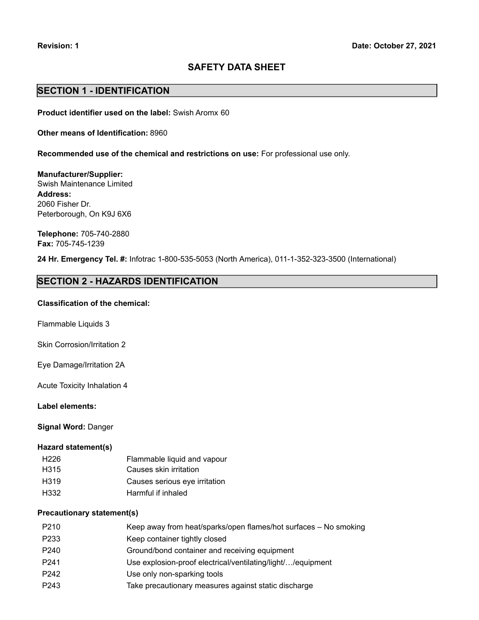# **SAFETY DATA SHEET**

# **SECTION 1 - IDENTIFICATION**

**Product identifier used on the label:** Swish Aromx 60

**Other means of Identification:** 8960

**Recommended use of the chemical and restrictions on use:** For professional use only.

**Manufacturer/Supplier:** Swish Maintenance Limited **Address:** 2060 Fisher Dr. Peterborough, On K9J 6X6

**Telephone:** 705-740-2880 **Fax:** 705-745-1239

**24 Hr. Emergency Tel. #:** Infotrac 1-800-535-5053 (North America), 011-1-352-323-3500 (International)

# **SECTION 2 - HAZARDS IDENTIFICATION**

### **Classification of the chemical:**

Flammable Liquids 3

Skin Corrosion/Irritation 2

Eye Damage/Irritation 2A

Acute Toxicity Inhalation 4

### **Label elements:**

**Signal Word:** Danger

#### **Hazard statement(s)**

| H <sub>226</sub> | Flammable liquid and vapour   |
|------------------|-------------------------------|
| H <sub>315</sub> | Causes skin irritation        |
| H319             | Causes serious eye irritation |
| H332             | Harmful if inhaled            |

### **Precautionary statement(s)**

| P210             | Keep away from heat/sparks/open flames/hot surfaces – No smoking |
|------------------|------------------------------------------------------------------|
| P233             | Keep container tightly closed                                    |
| P <sub>240</sub> | Ground/bond container and receiving equipment                    |
| P <sub>241</sub> | Use explosion-proof electrical/ventilating/light//equipment      |
| P <sub>242</sub> | Use only non-sparking tools                                      |
| P243             | Take precautionary measures against static discharge             |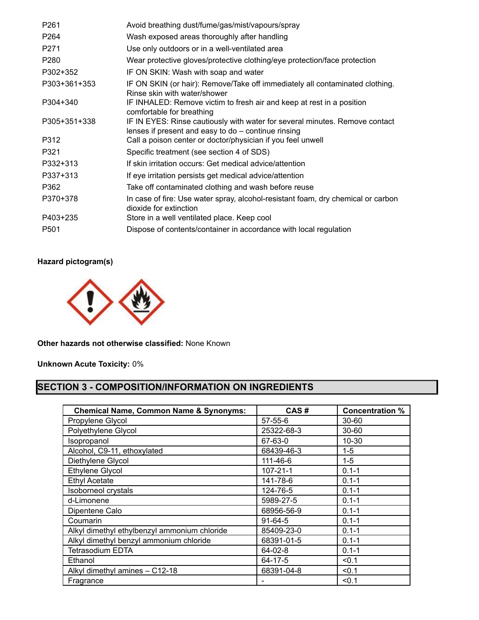| P <sub>261</sub> | Avoid breathing dust/fume/gas/mist/vapours/spray                                                                                   |
|------------------|------------------------------------------------------------------------------------------------------------------------------------|
| P <sub>264</sub> | Wash exposed areas thoroughly after handling                                                                                       |
| P271             | Use only outdoors or in a well-ventilated area                                                                                     |
| P280             | Wear protective gloves/protective clothing/eye protection/face protection                                                          |
| P302+352         | IF ON SKIN: Wash with soap and water                                                                                               |
| P303+361+353     | IF ON SKIN (or hair): Remove/Take off immediately all contaminated clothing.<br>Rinse skin with water/shower                       |
| P304+340         | IF INHALED: Remove victim to fresh air and keep at rest in a position<br>comfortable for breathing                                 |
| P305+351+338     | IF IN EYES: Rinse cautiously with water for several minutes. Remove contact<br>lenses if present and easy to do – continue rinsing |
| P312             | Call a poison center or doctor/physician if you feel unwell                                                                        |
| P321             | Specific treatment (see section 4 of SDS)                                                                                          |
| P332+313         | If skin irritation occurs: Get medical advice/attention                                                                            |
| P337+313         | If eye irritation persists get medical advice/attention                                                                            |
| P362             | Take off contaminated clothing and wash before reuse                                                                               |
| P370+378         | In case of fire: Use water spray, alcohol-resistant foam, dry chemical or carbon<br>dioxide for extinction                         |
| P403+235         | Store in a well ventilated place. Keep cool                                                                                        |
| P <sub>501</sub> | Dispose of contents/container in accordance with local regulation                                                                  |

# **Hazard pictogram(s)**



**Other hazards not otherwise classified:** None Known

**Unknown Acute Toxicity:** 0%

# **SECTION 3 - COMPOSITION/INFORMATION ON INGREDIENTS**

| <b>Chemical Name, Common Name &amp; Synonyms:</b> | CAS#           | <b>Concentration %</b> |
|---------------------------------------------------|----------------|------------------------|
| Propylene Glycol                                  | $57 - 55 - 6$  | $30 - 60$              |
| Polyethylene Glycol                               | 25322-68-3     | $30 - 60$              |
| Isopropanol                                       | 67-63-0        | $10 - 30$              |
| Alcohol, C9-11, ethoxylated                       | 68439-46-3     | $1 - 5$                |
| Diethylene Glycol                                 | 111-46-6       | $1 - 5$                |
| <b>Ethylene Glycol</b>                            | $107 - 21 - 1$ | $0.1 - 1$              |
| <b>Ethyl Acetate</b>                              | 141-78-6       | $0.1 - 1$              |
| <b>Isoborneol crystals</b>                        | 124-76-5       | $0.1 - 1$              |
| d-Limonene                                        | 5989-27-5      | $0.1 - 1$              |
| Dipentene Calo                                    | 68956-56-9     | $0.1 - 1$              |
| Coumarin                                          | $91-64-5$      | $0.1 - 1$              |
| Alkyl dimethyl ethylbenzyl ammonium chloride      | 85409-23-0     | $0.1 - 1$              |
| Alkyl dimethyl benzyl ammonium chloride           | 68391-01-5     | $0.1 - 1$              |
| <b>Tetrasodium EDTA</b>                           | $64 - 02 - 8$  | $0.1 - 1$              |
| Ethanol                                           | 64-17-5        | < 0.1                  |
| Alkyl dimethyl amines - C12-18                    | 68391-04-8     | < 0.1                  |
| Fragrance                                         |                | < 0.1                  |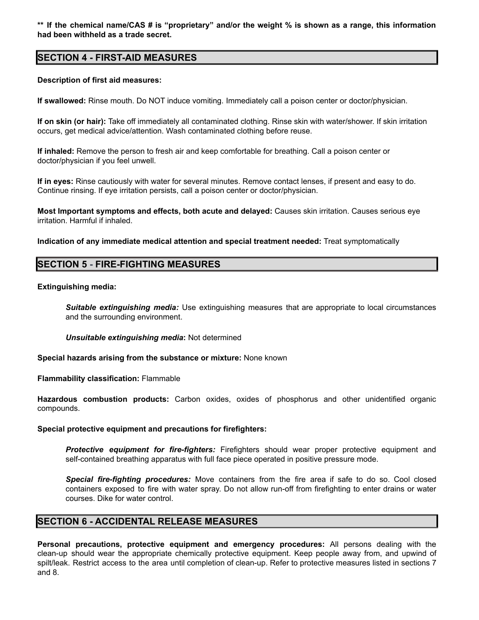\*\* If the chemical name/CAS # is "proprietary" and/or the weight % is shown as a range, this information **had been withheld as a trade secret.**

# **SECTION 4 - FIRST-AID MEASURES**

### **Description of first aid measures:**

**If swallowed:** Rinse mouth. Do NOT induce vomiting. Immediately call a poison center or doctor/physician.

**If on skin (or hair):** Take off immediately all contaminated clothing. Rinse skin with water/shower. If skin irritation occurs, get medical advice/attention. Wash contaminated clothing before reuse.

**If inhaled:** Remove the person to fresh air and keep comfortable for breathing. Call a poison center or doctor/physician if you feel unwell.

**If in eyes:** Rinse cautiously with water for several minutes. Remove contact lenses, if present and easy to do. Continue rinsing. If eye irritation persists, call a poison center or doctor/physician.

**Most Important symptoms and effects, both acute and delayed:** Causes skin irritation. Causes serious eye irritation. Harmful if inhaled.

**Indication of any immediate medical attention and special treatment needed:** Treat symptomatically

# **SECTION 5 - FIRE-FIGHTING MEASURES**

### **Extinguishing media:**

*Suitable extinguishing media:* Use extinguishing measures that are appropriate to local circumstances and the surrounding environment.

*Unsuitable extinguishing media***:** Not determined

**Special hazards arising from the substance or mixture:** None known

**Flammability classification:** Flammable

**Hazardous combustion products:** Carbon oxides, oxides of phosphorus and other unidentified organic compounds.

### **Special protective equipment and precautions for firefighters:**

*Protective equipment for fire-fighters:* Firefighters should wear proper protective equipment and self-contained breathing apparatus with full face piece operated in positive pressure mode.

*Special fire-fighting procedures:* Move containers from the fire area if safe to do so. Cool closed containers exposed to fire with water spray. Do not allow run-off from firefighting to enter drains or water courses. Dike for water control.

### **SECTION 6 - ACCIDENTAL RELEASE MEASURES**

**Personal precautions, protective equipment and emergency procedures:** All persons dealing with the clean-up should wear the appropriate chemically protective equipment. Keep people away from, and upwind of spilt/leak. Restrict access to the area until completion of clean-up. Refer to protective measures listed in sections 7 and 8.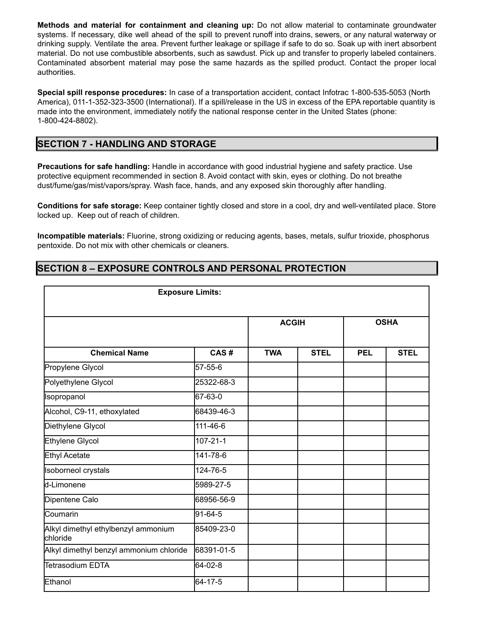**Methods and material for containment and cleaning up:** Do not allow material to contaminate groundwater systems. If necessary, dike well ahead of the spill to prevent runoff into drains, sewers, or any natural waterway or drinking supply. Ventilate the area. Prevent further leakage or spillage if safe to do so. Soak up with inert absorbent material. Do not use combustible absorbents, such as sawdust. Pick up and transfer to properly labeled containers. Contaminated absorbent material may pose the same hazards as the spilled product. Contact the proper local authorities.

**Special spill response procedures:** In case of a transportation accident, contact Infotrac 1-800-535-5053 (North America), 011-1-352-323-3500 (International). If a spill/release in the US in excess of the EPA reportable quantity is made into the environment, immediately notify the national response center in the United States (phone: 1-800-424-8802).

# **SECTION 7 - HANDLING AND STORAGE**

**Precautions for safe handling:** Handle in accordance with good industrial hygiene and safety practice. Use protective equipment recommended in section 8. Avoid contact with skin, eyes or clothing. Do not breathe dust/fume/gas/mist/vapors/spray. Wash face, hands, and any exposed skin thoroughly after handling.

**Conditions for safe storage:** Keep container tightly closed and store in a cool, dry and well-ventilated place. Store locked up. Keep out of reach of children.

**Incompatible materials:** Fluorine, strong oxidizing or reducing agents, bases, metals, sulfur trioxide, phosphorus pentoxide. Do not mix with other chemicals or cleaners.

# **SECTION 8 – EXPOSURE CONTROLS AND PERSONAL PROTECTION**

| <b>Exposure Limits:</b>                         |                |              |             |             |             |
|-------------------------------------------------|----------------|--------------|-------------|-------------|-------------|
|                                                 |                | <b>ACGIH</b> |             | <b>OSHA</b> |             |
| <b>Chemical Name</b>                            | CAS#           | <b>TWA</b>   | <b>STEL</b> | <b>PEL</b>  | <b>STEL</b> |
| Propylene Glycol                                | 57-55-6        |              |             |             |             |
| Polyethylene Glycol                             | 25322-68-3     |              |             |             |             |
| Isopropanol                                     | 67-63-0        |              |             |             |             |
| Alcohol, C9-11, ethoxylated                     | 68439-46-3     |              |             |             |             |
| Diethylene Glycol                               | 111-46-6       |              |             |             |             |
| Ethylene Glycol                                 | $107 - 21 - 1$ |              |             |             |             |
| Ethyl Acetate                                   | 141-78-6       |              |             |             |             |
| <b>Isoborneol crystals</b>                      | 124-76-5       |              |             |             |             |
| d-Limonene                                      | 5989-27-5      |              |             |             |             |
| Dipentene Calo                                  | 68956-56-9     |              |             |             |             |
| <b>C</b> oumarin                                | 91-64-5        |              |             |             |             |
| Alkyl dimethyl ethylbenzyl ammonium<br>chloride | 85409-23-0     |              |             |             |             |
| Alkyl dimethyl benzyl ammonium chloride         | 68391-01-5     |              |             |             |             |
| lTetrasodium EDTA                               | 64-02-8        |              |             |             |             |
| Ethanol                                         | 64-17-5        |              |             |             |             |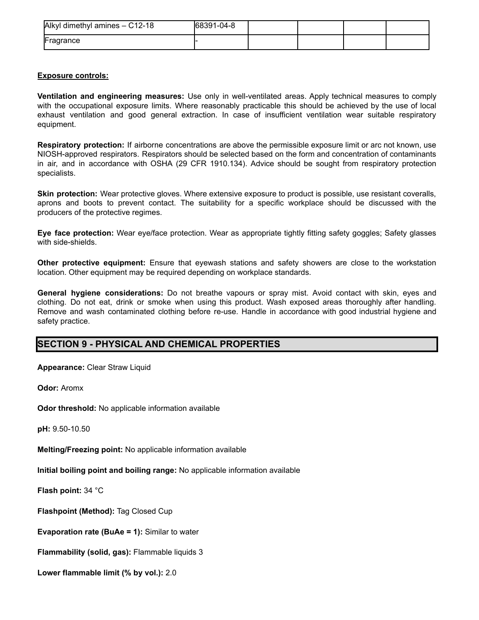| Alkyl dimethyl amines - C12-18 | 68391-04-8 |  |  |
|--------------------------------|------------|--|--|
| Fragrance                      |            |  |  |

### **Exposure controls:**

**Ventilation and engineering measures:** Use only in well-ventilated areas. Apply technical measures to comply with the occupational exposure limits. Where reasonably practicable this should be achieved by the use of local exhaust ventilation and good general extraction. In case of insufficient ventilation wear suitable respiratory equipment.

**Respiratory protection:** If airborne concentrations are above the permissible exposure limit or arc not known, use NIOSH-approved respirators. Respirators should be selected based on the form and concentration of contaminants in air, and in accordance with OSHA (29 CFR 1910.134). Advice should be sought from respiratory protection specialists.

**Skin protection:** Wear protective gloves. Where extensive exposure to product is possible, use resistant coveralls, aprons and boots to prevent contact. The suitability for a specific workplace should be discussed with the producers of the protective regimes.

**Eye face protection:** Wear eye/face protection. Wear as appropriate tightly fitting safety goggles; Safety glasses with side-shields.

**Other protective equipment:** Ensure that eyewash stations and safety showers are close to the workstation location. Other equipment may be required depending on workplace standards.

**General hygiene considerations:** Do not breathe vapours or spray mist. Avoid contact with skin, eyes and clothing. Do not eat, drink or smoke when using this product. Wash exposed areas thoroughly after handling. Remove and wash contaminated clothing before re-use. Handle in accordance with good industrial hygiene and safety practice.

# **SECTION 9 - PHYSICAL AND CHEMICAL PROPERTIES**

**Appearance:** Clear Straw Liquid

**Odor:** Aromx

**Odor threshold:** No applicable information available

**pH:** 9.50-10.50

**Melting/Freezing point:** No applicable information available

**Initial boiling point and boiling range:** No applicable information available

**Flash point:** 34 °C

**Flashpoint (Method):** Tag Closed Cup

**Evaporation rate (BuAe = 1):** Similar to water

**Flammability (solid, gas):** Flammable liquids 3

**Lower flammable limit (% by vol.):** 2.0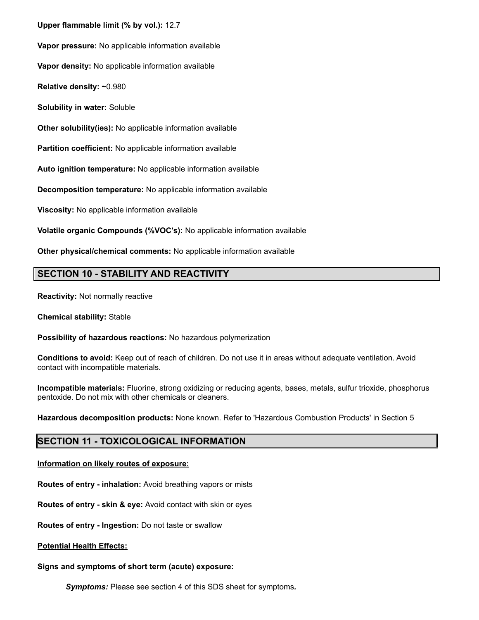**Upper flammable limit (% by vol.):** 12.7

**Vapor pressure:** No applicable information available

**Vapor density:** No applicable information available

**Relative density: ~**0.980

**Solubility in water:** Soluble

**Other solubility(ies):** No applicable information available

**Partition coefficient:** No applicable information available

**Auto ignition temperature:** No applicable information available

**Decomposition temperature:** No applicable information available

**Viscosity:** No applicable information available

**Volatile organic Compounds (%VOC's):** No applicable information available

**Other physical/chemical comments:** No applicable information available

# **SECTION 10 - STABILITY AND REACTIVITY**

**Reactivity:** Not normally reactive

**Chemical stability:** Stable

**Possibility of hazardous reactions:** No hazardous polymerization

**Conditions to avoid:** Keep out of reach of children. Do not use it in areas without adequate ventilation. Avoid contact with incompatible materials.

**Incompatible materials:** Fluorine, strong oxidizing or reducing agents, bases, metals, sulfur trioxide, phosphorus pentoxide. Do not mix with other chemicals or cleaners.

**Hazardous decomposition products:** None known. Refer to 'Hazardous Combustion Products' in Section 5

# **SECTION 11 - TOXICOLOGICAL INFORMATION**

**Information on likely routes of exposure:**

**Routes of entry - inhalation:** Avoid breathing vapors or mists

**Routes of entry - skin & eye:** Avoid contact with skin or eyes

**Routes of entry - Ingestion:** Do not taste or swallow

**Potential Health Effects:**

**Signs and symptoms of short term (acute) exposure:**

*Symptoms:* Please see section 4 of this SDS sheet for symptoms*.*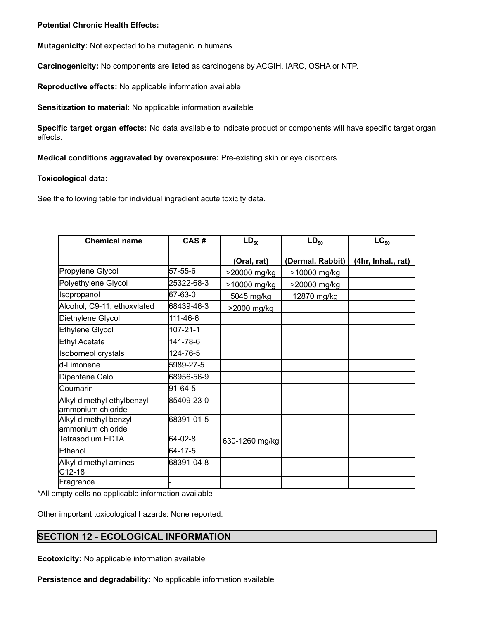### **Potential Chronic Health Effects:**

**Mutagenicity:** Not expected to be mutagenic in humans.

**Carcinogenicity:** No components are listed as carcinogens by ACGIH, IARC, OSHA or NTP.

**Reproductive effects:** No applicable information available

**Sensitization to material:** No applicable information available

**Specific target organ effects:** No data available to indicate product or components will have specific target organ effects.

**Medical conditions aggravated by overexposure:** Pre-existing skin or eye disorders.

### **Toxicological data:**

See the following table for individual ingredient acute toxicity data.

| <b>Chemical name</b>                            | CAS#           | $LD_{50}$      | $LD_{50}$        | $LC_{50}$          |
|-------------------------------------------------|----------------|----------------|------------------|--------------------|
|                                                 |                | (Oral, rat)    | (Dermal. Rabbit) | (4hr, Inhal., rat) |
| Propylene Glycol                                | 57-55-6        | >20000 mg/kg   | >10000 mg/kg     |                    |
| Polyethylene Glycol                             | 25322-68-3     | >10000 mg/kg   | >20000 mg/kg     |                    |
| Isopropanol                                     | 67-63-0        | 5045 mg/kg     | 12870 mg/kg      |                    |
| Alcohol, C9-11, ethoxylated                     | 68439-46-3     | >2000 mg/kg    |                  |                    |
| Diethylene Glycol                               | 111-46-6       |                |                  |                    |
| <b>Ethylene Glycol</b>                          | $107 - 21 - 1$ |                |                  |                    |
| <b>Ethyl Acetate</b>                            | 141-78-6       |                |                  |                    |
| <b>Isoborneol crystals</b>                      | 124-76-5       |                |                  |                    |
| d-Limonene                                      | 5989-27-5      |                |                  |                    |
| Dipentene Calo                                  | 68956-56-9     |                |                  |                    |
| Coumarin                                        | 91-64-5        |                |                  |                    |
| Alkyl dimethyl ethylbenzyl<br>ammonium chloride | 85409-23-0     |                |                  |                    |
| Alkyl dimethyl benzyl<br>ammonium chloride      | 68391-01-5     |                |                  |                    |
| Tetrasodium EDTA                                | 64-02-8        | 630-1260 mg/kg |                  |                    |
| Ethanol                                         | 64-17-5        |                |                  |                    |
| Alkyl dimethyl amines -<br>C12-18               | 68391-04-8     |                |                  |                    |
| Fragrance                                       |                |                |                  |                    |

\*All empty cells no applicable information available

Other important toxicological hazards: None reported.

# **SECTION 12 - ECOLOGICAL INFORMATION**

**Ecotoxicity:** No applicable information available

**Persistence and degradability:** No applicable information available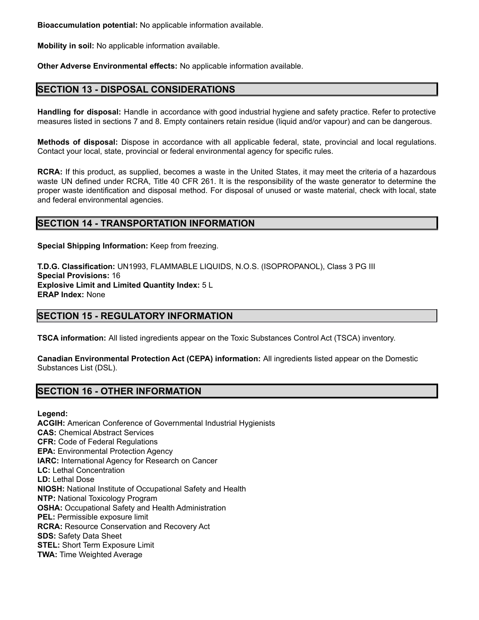**Bioaccumulation potential:** No applicable information available.

**Mobility in soil:** No applicable information available.

**Other Adverse Environmental effects:** No applicable information available.

# **SECTION 13 - DISPOSAL CONSIDERATIONS**

**Handling for disposal:** Handle in accordance with good industrial hygiene and safety practice. Refer to protective measures listed in sections 7 and 8. Empty containers retain residue (liquid and/or vapour) and can be dangerous.

**Methods of disposal:** Dispose in accordance with all applicable federal, state, provincial and local regulations. Contact your local, state, provincial or federal environmental agency for specific rules.

**RCRA:** If this product, as supplied, becomes a waste in the United States, it may meet the criteria of a hazardous waste UN defined under RCRA, Title 40 CFR 261. It is the responsibility of the waste generator to determine the proper waste identification and disposal method. For disposal of unused or waste material, check with local, state and federal environmental agencies.

# **SECTION 14 - TRANSPORTATION INFORMATION**

**Special Shipping Information:** Keep from freezing.

**T.D.G. Classification:** UN1993, FLAMMABLE LIQUIDS, N.O.S. (ISOPROPANOL), Class 3 PG III **Special Provisions:** 16 **Explosive Limit and Limited Quantity Index:** 5 L **ERAP Index:** None

# **SECTION 15 - REGULATORY INFORMATION**

**TSCA information:** All listed ingredients appear on the Toxic Substances Control Act (TSCA) inventory.

**Canadian Environmental Protection Act (CEPA) information:** All ingredients listed appear on the Domestic Substances List (DSL).

# **SECTION 16 - OTHER INFORMATION**

**Legend:**

**ACGIH:** American Conference of Governmental Industrial Hygienists **CAS:** Chemical Abstract Services **CFR:** Code of Federal Regulations **EPA:** Environmental Protection Agency **IARC:** International Agency for Research on Cancer **LC:** Lethal Concentration **LD:** Lethal Dose **NIOSH:** National Institute of Occupational Safety and Health **NTP:** National Toxicology Program **OSHA:** Occupational Safety and Health Administration **PEL:** Permissible exposure limit **RCRA:** Resource Conservation and Recovery Act **SDS:** Safety Data Sheet **STEL:** Short Term Exposure Limit **TWA:** Time Weighted Average